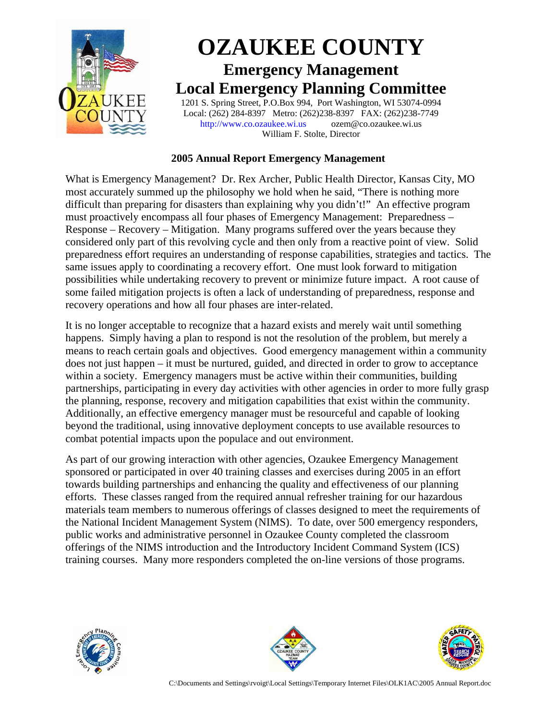

## **2005 Annual Report Emergency Management**

What is Emergency Management? Dr. Rex Archer, Public Health Director, Kansas City, MO most accurately summed up the philosophy we hold when he said, "There is nothing more difficult than preparing for disasters than explaining why you didn't!" An effective program must proactively encompass all four phases of Emergency Management: Preparedness – Response – Recovery – Mitigation. Many programs suffered over the years because they considered only part of this revolving cycle and then only from a reactive point of view. Solid preparedness effort requires an understanding of response capabilities, strategies and tactics. The same issues apply to coordinating a recovery effort. One must look forward to mitigation possibilities while undertaking recovery to prevent or minimize future impact. A root cause of some failed mitigation projects is often a lack of understanding of preparedness, response and recovery operations and how all four phases are inter-related.

It is no longer acceptable to recognize that a hazard exists and merely wait until something happens. Simply having a plan to respond is not the resolution of the problem, but merely a means to reach certain goals and objectives. Good emergency management within a community does not just happen – it must be nurtured, guided, and directed in order to grow to acceptance within a society. Emergency managers must be active within their communities, building partnerships, participating in every day activities with other agencies in order to more fully grasp the planning, response, recovery and mitigation capabilities that exist within the community. Additionally, an effective emergency manager must be resourceful and capable of looking beyond the traditional, using innovative deployment concepts to use available resources to combat potential impacts upon the populace and out environment.

As part of our growing interaction with other agencies, Ozaukee Emergency Management sponsored or participated in over 40 training classes and exercises during 2005 in an effort towards building partnerships and enhancing the quality and effectiveness of our planning efforts. These classes ranged from the required annual refresher training for our hazardous materials team members to numerous offerings of classes designed to meet the requirements of the National Incident Management System (NIMS). To date, over 500 emergency responders, public works and administrative personnel in Ozaukee County completed the classroom offerings of the NIMS introduction and the Introductory Incident Command System (ICS) training courses. Many more responders completed the on-line versions of those programs.